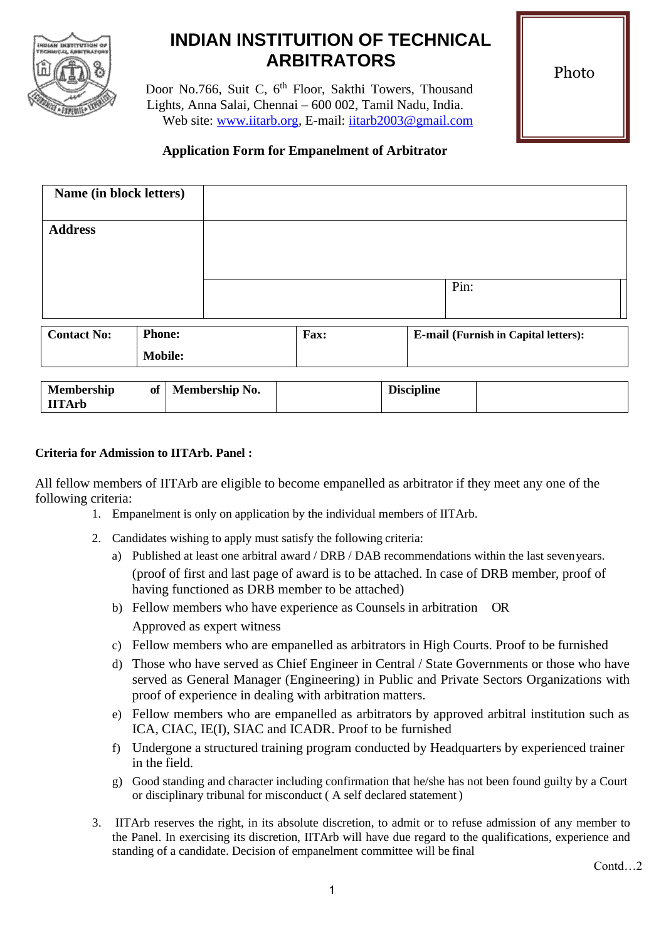

## **INDIAN INSTITUITION OF TECHNICAL ARBITRATORS**

Door No.766, Suit C, 6<sup>th</sup> Floor, Sakthi Towers, Thousand Lights, Anna Salai, Chennai – 600 002, Tamil Nadu, India. Web site: [www.iitarb.org,](http://www.iitarb.org/) E-mail: [iitar](mailto:iitarb2003@gmail.com)[b2003@gmail.com](mailto:b2003@gmail.com) Photo

## **Application Form for Empanelment of Arbitrator**

| Name (in block letters) |                |  |      |  |                                             |  |
|-------------------------|----------------|--|------|--|---------------------------------------------|--|
| <b>Address</b>          |                |  |      |  |                                             |  |
|                         |                |  |      |  | Pin:                                        |  |
| <b>Contact No:</b>      | <b>Phone:</b>  |  | Fax: |  | <b>E-mail (Furnish in Capital letters):</b> |  |
|                         | <b>Mobile:</b> |  |      |  |                                             |  |
|                         |                |  |      |  |                                             |  |

| <b>Membership</b><br>0Ī<br>UTArb | <b>Membership No.</b> | <b>Discipline</b> |  |
|----------------------------------|-----------------------|-------------------|--|
|                                  |                       |                   |  |

## **Criteria for Admission to IITArb. Panel :**

All fellow members of IITArb are eligible to become empanelled as arbitrator if they meet any one of the following criteria:

- 1. Empanelment is only on application by the individual members of IITArb.
- 2. Candidates wishing to apply must satisfy the following criteria:
	- a) Published at least one arbitral award / DRB / DAB recommendations within the last sevenyears. (proof of first and last page of award is to be attached. In case of DRB member, proof of having functioned as DRB member to be attached)
	- b) Fellow members who have experience as Counsels in arbitration OR Approved as expert witness
	- c) Fellow members who are empanelled as arbitrators in High Courts. Proof to be furnished
	- d) Those who have served as Chief Engineer in Central / State Governments or those who have served as General Manager (Engineering) in Public and Private Sectors Organizations with proof of experience in dealing with arbitration matters.
	- e) Fellow members who are empanelled as arbitrators by approved arbitral institution such as ICA, CIAC, IE(I), SIAC and ICADR. Proof to be furnished
	- f) Undergone a structured training program conducted by Headquarters by experienced trainer in the field.
	- g) Good standing and character including confirmation that he/she has not been found guilty by a Court or disciplinary tribunal for misconduct ( A self declared statement )
- 3. IITArb reserves the right, in its absolute discretion, to admit or to refuse admission of any member to the Panel. In exercising its discretion, IITArb will have due regard to the qualifications, experience and standing of a candidate. Decision of empanelment committee will be final